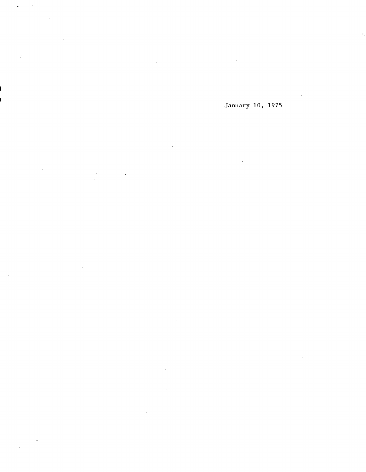January 10, 1975

 $\mathcal{A}^{\pm}$ 

 $\sim$ 

 $\ddot{\phantom{a}}$ 

 $\overline{\phantom{a}}$ 

 $\bar{z}$ 

 $\downarrow$ 

 $\bar{\beta}$ 

 $\frac{1}{2}$ 

 $\sim$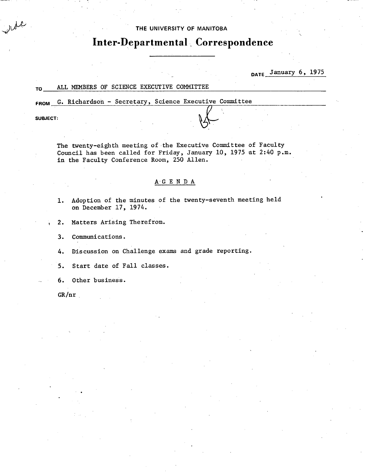# THE UNIVERSITY **OF MANITOBA**

# **Inter-Departmental.. Correspondence**

**DATE** January 6, 1975

# TO ALL MEMBERS OF SCIENCE EXECUTIVE COMMITTEE

FROM G. Richardson - Secretary, Science Executive Committee<br>SUBJECT:<br> **AL** 

ide

The twenty-eighth meeting of the Executive Committee of Faculty Council has been called for Friday, January 10, 1975 at 2:40 p.m. in the Faculty Conference Room, 250 Allen.

# AG E N D A

Adoption of the minutes of the twenty-seventh meeting held  $1.$ on December 17, 1974.

 $2.$ Matters Arising Therefrom.

 $3.$ Communications.

Discussion on Challenge exams and grade reporting. 4.

 $5.$ Start date of Fall classes.

6. Other business.

GR/nr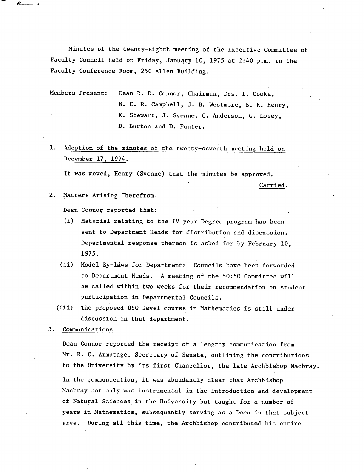Minutes of the twenty-eighth meeting of the Executive Committee of Faculty Council held on Friday, January 10, 1975 at 2:40 p.m. in the Faculty Conference Room, 250 Allen Building.

Members Present: Dean R. D. Connor, Chairman, Drs. I. Cooke, N. E. R. Campbell, J. B. Westmore, B. R. Henry, K. Stewart, J. Svenne, C. Anderson, G. Losey, D. Burton and D. Punter.

1. Adoption of the minutes of the twenty-seventh meeting held on December 17. 1974.

It was moved, Henry (Svenne) that the minutes be approved.

Carried.

## 2. Matters Arising Therefrom.,

فأستنط

Dean Connor reported that:

- (1) Material relating to the IV year Degree program has been sent to Department Heads for distribution and discussion. Departmental response thereon is asked for by February 10, 1975.
- (ii) Model By-laws for Departmental Councils have been forwarded to Department Heads. A meeting of the 50:50 Committee will be called within two weeks for their recommendation on student participation in Departmental Councils.
- The proposed 090 level course in Mathematics is still under  $(iii)$ discussion in that department.
- 3. Communications

Dean Connor reported the receipt of a lengthy communication from Mr. R. C. Armatage, Secretary' of Senate, outlining the contributions to the University by its first Chancellor, the late Archbishop Machray. In the communication, it was abundantly clear that Archbishop Machray not only was instrumental in the introduction and development of Natural Sciences, in the University but taught for a number of years in Mathematics, subsequently serving as a Dean in that subject area. During all this time, the Archbishop contributed his entire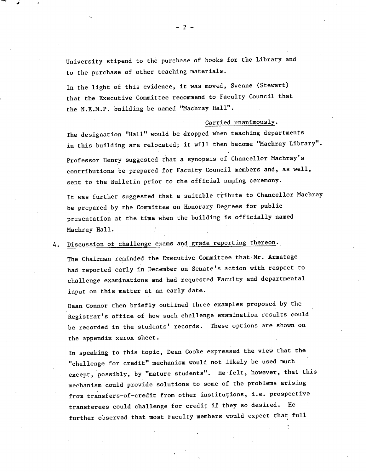University stipend to the purchase of books for the Library and to the purchase of other teaching materials.

In the light of this evidence, it was moved, Svenne (Stewart) that the Executive Committee recommend to Faculty Council that the N.E.M.P. building be named "Machray Hall".

### Carried unanimously.

The designation "Hall" would be dropped when teaching departments in this building are relocated; it will then become "Machray Library". Professor Henry suggested that a synopsis of Chancellor Machray's contributions be prepared for Faculty Council members and, as well, sent to the Bulletin prior to the official naming ceremony.

It was further suggested that a suitable tribute to Chancellor Machray be prepared by the Committee on Honorary Degrees for public presentation at the time when the building is officially named Machray Hall.

# 4. Discussion of challenge exams and grade reporting thereon.

The Chairman reminded the Executive Committee that Mr. Armatage had reported early in December on Senate's action with respect to challenge examinations and had requested Faculty and departmental input on this matter at an early date.

Dean Connor then briefly outlined three examples proposed by the Registrar's office of how such challenge examination results could be recorded in the students' records. These options are shown on the appendix xerox sheet.

In speaking to this topic, Dean Cooke expressed the view that the "challenge for credit" mechanism would not likely be used much except, possibly, by "mature students". He felt, however, that this mechanism could provide solutions to some of the problems arising from transfers-of-credit from other institutions, i.e. prospective transferees could challenge for credit if they so desired. He further observed that most Faculty members would expect that full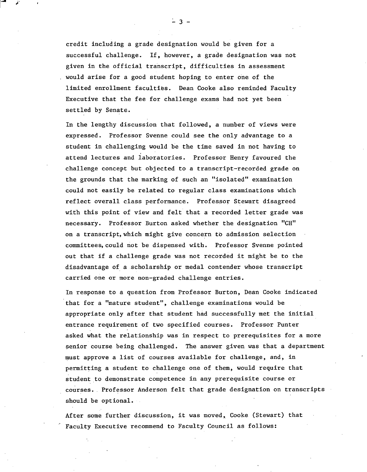credit including a grade designation would be given for a successful challenge. If, however, a grade designation was not given in the official transcript, difficulties in assessment would arise for a good student hoping to enter one of the limited enrollment faculties. Dean Cooke also reminded Faculty Executive that the fee for challenge exams had not yet been settled by Senate.

In the lengthy discussion that followed, a number of views were expressed. Professor Svenne could see the only advantage to a student in challenging would be the time saved in not having to attend lectures and laboratories. Professor Henry favoured the challenge concept but objected to a transcript-recorded grade on the grounds that the marking of such an "isolated" examination could not easily be related to regular class examinations which reflect overall class performance. Professor Stewart disagreed with this point of view and felt that a recorded letter grade was necessary. Professor Burton asked whether the designation "Cli" on a transcript, which might give concern to admission selection committees, could not be dispensed with. Professor Svenne pointed out that if a challenge grade was not recorded it might be to the disadvantage of a scholarship or medal contender whose transcript carried one or more non-graded challenge entries.

In response to a question from Professor Burton, Dean Cooke indicated that for a "mature student", challenge examinations would be appropriate only after that student had successfully met the initial entrance requirement of two specified courses. Professor Punter asked what the relationship was in respect to prerequisites for a more senior course being challenged. The answer given was that a department must approve a list of courses available for challenge, and, in permitting a student to challenge one of them, would require that student to demonstrate competence in any prerequisite course or courses. Professor Anderson felt that grade designation on transcripts should be optional.

After some further discussion, it was moved, Cooke (Stewart) that Faculty Executive recommend to Faculty Council as follows: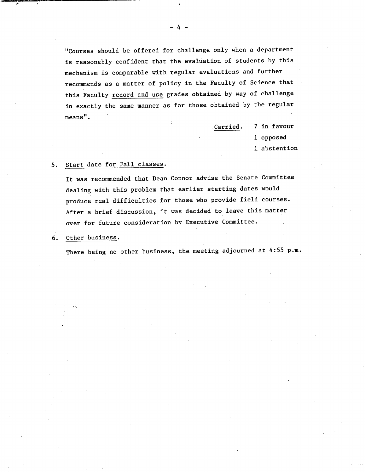"Courses should be offered for challenge only when a department is reasonably confident that the evaluation of students by this mechanism is comparable with regular evaluations and further recommends as a matter of policy in the Faculty of Science that this Faculty record and use grades obtained by way of challenge in exactly the same manner as for those obtained by the regular means".

> .Carrfed. 7 in favour 1 opposed 1 abstention

#### Start date for Fall classes.  $5.$

It was recommended that Dean Connor advise the Senate Committee dealing with this problem that earlier starting dates would produce real difficulties for those who provide field courses. After a brief discussion, it was decided to leave this matter over for future consideration by Executive Committee.

#### Other business. 6.

There being no other business, the meeting adjourned at 4:55 p.m.

 $-4-$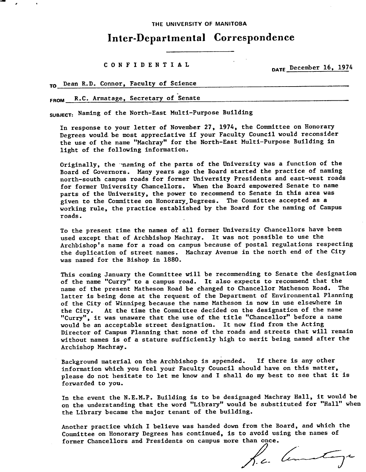**THE UNIVERSITY OF MANITOBA** 

# **Inter-Departmental Correspondence**

**CONFIDENTIAL** 

DATE December 16, 1974

TO Dean R.D. Connor, Faculty of Science

FROM R.C. Armatage, Secretary of Senate

SUBJECT: Naming of the North-East Multi-Purpose Building

In response to your letter of November 27, 1974, the Committee on Honorary Degrees would be most appreciative if your Faculty Council would reconsider the use of the name "Machray" for the North-East Multi-Purpose Building in light of the following information.

Originally, the maming of the parts of the University was a function of the Board of Governors. Many years ago the Board started the practice of naming north-south campus roads for former University Presidents and east-west roads for former University Chancellors. When the Board empowered Senate to name parts of the University, the power to recommend to Senate in this area was given to the Committee on Honorary Degrees. The Committee accepted as a working rule, the practice established by the Board for the naming of Campus roads.

To the present time the names of all former University Chancellors have been used except that of Archbishop Machray. It was not possible to use the Archbishop's name for a road on campus because of postal regulations respecting the duplication of street names. Machray Avenue in the north end of the City was named for the Bishop in 1880.

This coming January the Committee will be recommending to Senate the designation of the name "Curry" to a campus road. It also expects to recommend that the name of the present Matheson Road be changed to Chancellor Matheson Road. The latter is being done at the request of the Department of Environmental Planning of the City of Winnipeg because the name Matheson is now in use elsewhere in the City. At the time the Committee decided on the designation of the name "Curry", it was unaware that the use of the title "Chancellor" before a name would be an acceptable street designation. It now find from the Acting Director of Campus Planning that none of the roads and streets that will remain without names is of a stature sufficiently high to merit being named after the Archishop Machray.

Background material on the Archbishop is appended. If there is any other information which you feel your Faculty Council should have on this matter, please do not hesitate to let me know and I shall do my best to see that it is forwarded to you.

In the event the N.E.M.P. Building is to be designaged Machray Hall, it would be on the understanding that the word "Library" would be substituted for "Hall" when the Library became the major tenant of the building.

Another practice which I believe was handed down from the Board, and which the Committee on Honorary Degrees has continued, is to avoid using the names of

former Chancellors and Presidents on campus more than once.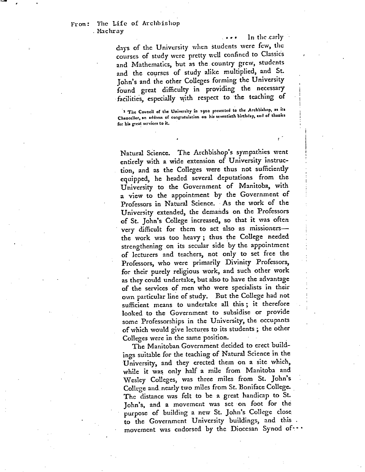In the .carly

days of the University when students were few, the courses of study were pretty well confined to Classics and Mathematics, but as the country *grew,* students and the courses of study alike multiplied, and St. John's and the other Colleges forming the University found great difficulty in providing the necessary facilities, especially with respect to the teaching of

*The Council of the Unversity in* **1902** *preentcd to the Archbishop, as its*  Chancellor, an address of congratulation on his seventieth birthday, and of thanks for his great services to it.

Natural Science. The Archbishop's sympathies went entirely with a wide extension of University instruction, and as the Colleges were thus not sufficiently equipped, he headed several deputations from the University to the Government of Manitoba, with a view to the appointment by the Government of Professors in Natural Science. As the work of the University extended, the demands on the Professors of St. John's College increased, so that it was often very difficult for them to act also as missioners the work was too heavy; thus the College needed strengthening on its secular side by the appointment of lecturers and teachers, not only to set free the Professors, who were primarily Divinity Professors, for their purely religious work, and such other work as they could undertake, but also to have the advantage of the services of men who were specialists in their own particular line of study. But the College had not sufficient means to undertake all this; it therefore looked to the Government to subsidise or provide some Professorships in the University, the occupants of which would give lectures to its students; the other Colleges were in the same position.

The Manitoban Government decided to erect buildings suitable for the teaching of Natural Science in the University, and they erected them on a site which, while it was only half a mile from Manitoba and Wesley Colleges, was three miles from St. John's College and nearly two miles from St. Boniface College. The distance was felt to be a great handicap to St. John's, and a movement was set on foot for the purpose of building a new St. John's College close to the Government University buildings, and this movement was endorsed by the Diocesan Synod of ...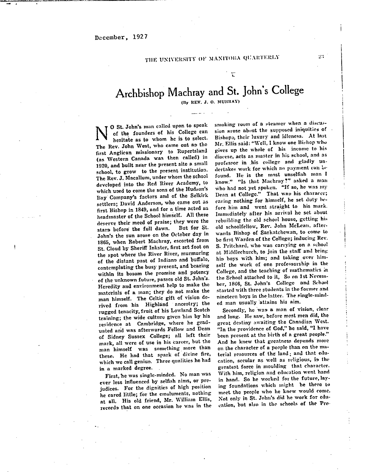$\ddot{r}$ 

# Archbishop Machray and St. John's College

(By REV. J. O. MURRAY)

N of the founders of his College can<br>hesitate as to whom he is to select.<br>The Rev. John West, who came out as the o St. John's man called upon to speak of the founders of his College can hesitate as to whom he is to select. first Anglican missionary to Rupertsland (as Western Canada was then called) in 1920, and built near the present site a small school, to grow to the present institution. The Rev. J. Macallum, under whom the school developed into the Red River Academy, to which used to come the Sons of the Hudson's Bay Company's factors and of the Selkirk settlers; David Anderson, who came out as first Bishop in 1849, and for a time acted as headmaster of the School himself. All these deserve their meed of praise; they were the<br>stars hefore the full dawn. But for St. stars before the full dawn. John's the sun arose on the October day in 1865, when Robert Nachray, escorted from St. Cloud by Sheriff lnkstcr, first set foot on the spot where the River River, murmuring of the distant past of Indians and buffalo, contemplating the busy present, and bearing within its bosom the promise and potency of the unknown future, passes old St. John's. Heredity and environment help to make the materials of a man; they do not make the man himself. The Celtic gift of vision derived from his Highland ancestry; the rugged tenacity,fruit of his Lowland Scotch training; the wide culture given him by his residence at Cambridge, where he graduated and was afterwards Fellow and Dean of Sidney Sussex College; all left their mark, all were of use in his career, but the man himself was something more than these. He had that spark of divine fire, which we call genius. Three qualities he had in a marked degree.

First, he was single-minded. No man was ever less influenced by selfish aims, or prejudices. For the dignities of high position he cared little; for the emoluments, nothing at all. His old friend, Mr. Villiam Ellis, records that on one occasion he was in the

smoking room of a steamer when a discussion arose about the supposed iniquities of Bishops, their luxury and idleness. At last Mr. Ellis said: "Well, I know one Bishop who gives up the whole of *his* income to his diocese, acts as master in his school, and as professor in his college and gladly undertakes work for which no payment can be found. He is the most unselfish man I know." "Is that Machray?" asked a man who had not yet spoken. "If so, he was my Dean at College." That wau his *charneer;*  caring nothing for himself, he set duty before him and went straight to his mark. Immediately after *his* arrival he set about rebuilding the old school house, getting hi old schoolfellow, Rev. John McLean. afterwards Bishop of Saskatchewan, to come to be first Warden of the College; inducing Rev. S. Pritchard, who was carrying on a school at Middlechurch, to join the staff and bring his boys with him; and taking over himself the work of one professorship in the College, and the teaching of mathematics in the School attached to it, So on 1st Nevemher, 1866, St. John's *College* and School started with three students in the former and nineteen boys in the latter. The single-minded man usually attains his aim.

Secondly, he was a man of vision, dear and long. He saw, before most men did, the great destiny awaiting the Canadian West. "In the providence of God," he said, "I have been present at the birth of a great people." And he knew that greatness depends more on the character of a people than on the nutterial resources of the land; and that education, secular as well as religious, is the greatest force in moulding that character. With him, religion and education went hand in hand. So he worked for the future, laying foundations which might be there to meet the people who he knew would come. Not only in St. John's did he work for education, but also in the schools of the Pro-

59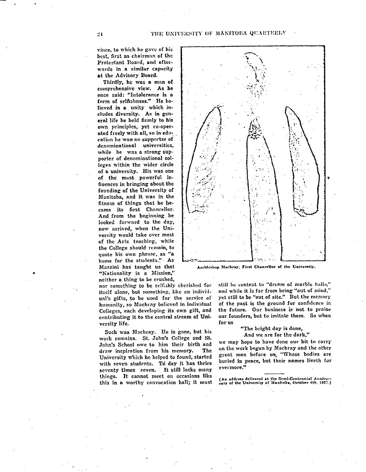vince, to which he gave of his best, first as chairman of the Protestant Board, and afterwards in a similar capacity at the Advisory Board.

Thirdly, he was a man of comprehensive view. As he once said: "Intolerance is a form of selfishness." He believed in a unity which ineludes diversity. As in general life he held firmly to his own principles, yet co-operated freely with all, so in education he wag no supporter of denominational universities, while he was a strong supporter of denominational colleges within the wider circle of a university. His was one of the most powerful infiuences in bringing about the founding of the University of Manitoba, and it was in the fitness of things that he became its first Chancellor. And from the beginning he looked forward to the day, now arrived, when the University would take over most of the Arts teaching, while the College should remain, to quote his own phrase, as "a home for the students." As Mazzini has taught us that "Nationality is a Mission," neither a thing to be crushed,

nor something to be selftshly cherished for itself alone, but something, like an individual's gifts, to be used for the service of humanity, so Machray believed in individual Colleges, each developing its own gift, and contributing it to the central stream of University life.

Such was Machrny. He is gone, but his work remains. St. John's College and St John's School owe to him their birth and draw inspiration from his memory. The University which he helped to found, started with seven students. To day it has thrice seventy times seven. It still lacks many things. It cannot meet on occasions like this in a worthy convocation hall; it must



Archhishop Machray, First Chancellor of the University.

still be content to "dream of marble halls," and while it is far from being "out of mind." yet still to be "out of site." But the memory of the past is the ground for confidence in the future. Our business is not to praise our founders, but to imitate them. So when for us

"The bright day is done,

And we are for the dark,"

we may hope to have done our bit to carry on the work begun by Mnchray and the other great men before us, "Whose bodies are buried in peace, but their names liveth for evermore."

[An addrees delivered at the Semi-Centennial Anniver-<br>sary of the University of Manitoba, October 6th. 1927.]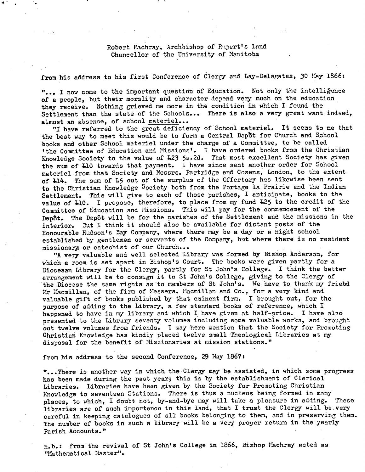# Robert Machray, Archbishop of Rupert's Land Chancellor of the University of Manitoba

# from his address to his first Conference of Clergy and Lay-Delegates, 30 May 1866:

"... I now come to the important question of Education. Not only the intelligence of a people, but their morality and character depend very much on the education they receive. Nothing grieved me more in the condition **in** which I found the Settlement than the state of the Schools... There is also a very great want indeed, almost an absence, of school materiel...

"I have referred to the great deficiency of School materiel. It seems to me that the best way to meet this would be to form a Central Depbt for Church and School books and other School materiel under the charge of a Committee, to be called 'the Committee of Education and Missions'. I have ordered books from the Christian Knowledge Society to the value of L23 5s.2d. That most excellent Society has given the sum of L10 towards that payment. I have since sent another order for School materiel from that Society and Kessrs. Partridge and. Cosens, London, to the extent of 114. The sum of 15 out of the surplus of the Offertory has likewise been sent to the Christian Knowledge Society both from the Portage la Prairie and the Indian Settlement. This will give to each of those parishes, I anticipate, books to the value of L10. I propose, therefore, to place from my fund L25 to the credit of the Committee of Education and Missions. This will pay for the commencement of the Depôt. The Depôt will be for the parishes of the Settlement and the missions in the interior. But I think it should also be available for distant posts of the Eonourable Hudson's Bay Company, where there may be a day or a night school established by gentlemen or servants of the Company, but where there is no resident nissionax7 or catechist of our Church...

"A very valuable and well selected Library was formed by Bishop Anderson, for which a room is set apart in Bishop's Court. The books were given partly for a Diocesan Library for the Clergy, partly for St John's College. I think the better arrangement will be to consign it to St John's College, giving to the Clergy of 'the Diocese the same rights as 'to members of St John's. We have to thank my friebd Mr Macmillan, of the firm of Messers. Macmillan and. Co., for a very kind, and valuable gift of books published by that eminent firm. I brought out, for the purpose of adding to the Library, a few standard books of reference, which I hapened to have in my library and which I have given at half-price. I have also presented to the Library seventy volumes including some valuable works, and brought out twelve volumes from friends. I may here mention that the Society for Promoting Christian Knowledge has kindly placed twelve small Theological Libraries at my disposal for the benefit of Missionaries at mission stations."

from his address to the second Conference, 29 May 1867:

"...There is another way in which the Clergy may be assisted, in which some progress has been made during the past year; this is by the establishment of Clerical Libraries. Libraries have been given by the Society for Promoting Christian Knowledge to seventeen Stations. There is thus a nucleus being formed in many places, to which, I doubt not, by-and-bye may will take a pleasure in adding. These libraries are of such importance in this land, that I trust the Clergy will be very careful in keeping catalogues of all books belonging to them, and in preserving them. The number of books in such a library will be a very proper return in the yearly Parish Accounts."

n.b.: from the revival of St John's College in 1866, Bishop Nachray acted as "Mathematical Master".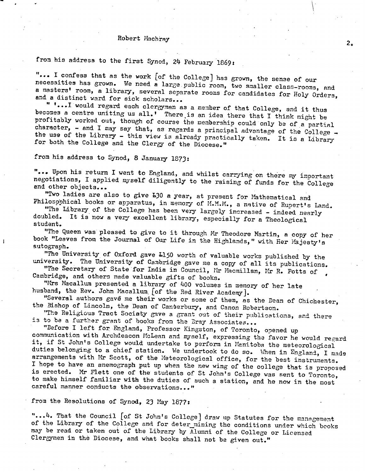### Robert Machray

from his address to the first Synod, 24 February 1869:

"... I confess that as the work [of the College] has grown, the sense of our necessities has grown. We need a large public room, two smaller class-rooms, and a masters' room, a library, several separate rooms for candidates for Holy Orders, and a distinct ward for sick scholars...

 $2<sub>o</sub>$ 

" '...I would regard each clergyman as a member of that College, and it thus becomes a centre uniting us all.' There is an idea there that I think might be profitably worked out, though of course the membership could only be of a partial character, - and I may say that, as regards a principal advantage of the College  $$ the use of the Library - this view is already practically taken. It is a Library for both the College and the Clergy of the Diocese."

from his address to Synod, 8 January 1873:

"... Upon his return I went to England, and whilst carrying on there my important negotiations, I applied myself diligently to the raising of funds for the College and other objects...

"Two ladies are also to give L30 a year, at present for Mathematical and Philosophical books or apparatus, in memory of M.M.M., a native of Rupert's Land.

"The Library of the College has been very largely increased - indeed nearly doubled. It is now a very excellent library, especially for a Theological student.

"The Queen was pleased to give to it through Mr Theodore Nartin, a copy of her book "Leaves from the Journal of Our Life in the Highlands," with Her Majesty's autograph.

"The University of Oxford gave L150 worth of valuable works published by the university. The University of Cambridge gave me a copy of all its publications.

"The Secretary of State for India in Council, Mr Macmillan, Mr R. Potts of Cambridge, and others made valuable gifts of books.

"Mrs Macallurn presented a library of 400 volumes in memory of her late husband, the Rev. John Macallum for the Red River Academy].

"Several authors gave me their works or some of them, as the Dean of Chichester, the Bishop of Lincoln, the Dean of Canterbury, and Canon Robertson.

"The Religious Tract Society gave a grant out of their publications, and there is to be a further grant of books from the Bray Associates...

"Before I left for. England, Professor Kingston, of Toronto, opened up communication with Archdeacon McLean and myself, expressing the favor he would regard it, if St John's College would undertake to perform in Manitoba the meteorological duties belonging to a chief station. We undertook to do so. When in England, I made arrangements with Mr Scott, of the Meteorological office, for the best instruments. I hope to have an anemograph put up when the new wing of the college that is proposed is erected. Mr Flett one of the students of St John's College was sent to Toronto, to make himself familiar with the duties of such a station, and he now in the most careful manner conducts the observations..."

# from the Resolutions of Synod, 23 May 1877:

" ... 4. That the Council [of St John's College] draw up Statutes for the management of the Library of the College and for deter\_mining the conditions under which books may be read or taken out of the Library by Alumni of the College or Licensed Clergymen in the Diocese, and what books shall not be given out."